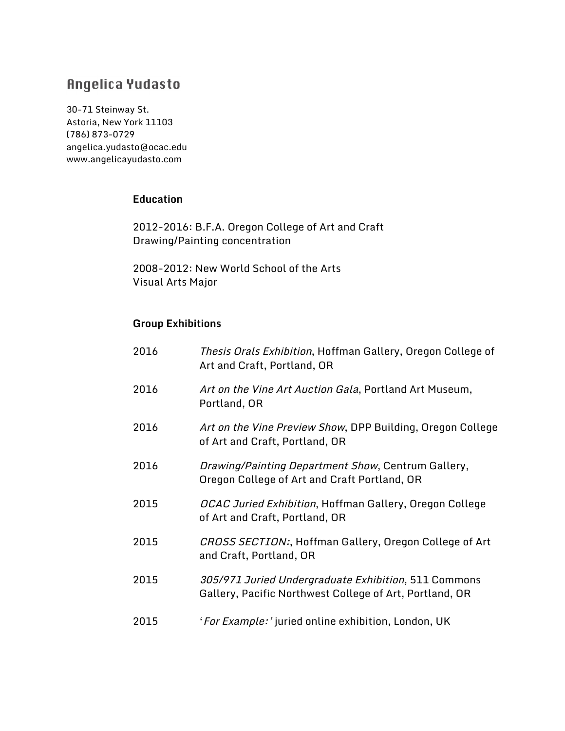# **Angelica Yudasto**

30-71 Steinway St. Astoria, New York 11103 (786) 873-0729 angelica.yudasto@ocac.edu www.angelicayudasto.com

#### **Education**

2012-2016: B.F.A. Oregon College of Art and Craft Drawing/Painting concentration

2008-2012: New World School of the Arts Visual Arts Major

#### **Group Exhibitions**

| 2016 | <i>Thesis Orals Exhibition</i> , Hoffman Gallery, Oregon College of<br>Art and Craft, Portland, OR              |
|------|-----------------------------------------------------------------------------------------------------------------|
| 2016 | Art on the Vine Art Auction Gala, Portland Art Museum,<br>Portland, OR                                          |
| 2016 | Art on the Vine Preview Show, DPP Building, Oregon College<br>of Art and Craft, Portland, OR                    |
| 2016 | Drawing/Painting Department Show, Centrum Gallery,<br>Oregon College of Art and Craft Portland, OR              |
| 2015 | <i>OCAC Juried Exhibition</i> , Hoffman Gallery, Oregon College<br>of Art and Craft, Portland, OR               |
| 2015 | CROSS SECTION:, Hoffman Gallery, Oregon College of Art<br>and Craft, Portland, OR                               |
| 2015 | 305/971 Juried Undergraduate Exhibition, 511 Commons<br>Gallery, Pacific Northwest College of Art, Portland, OR |
| 2015 | 'For Example:' juried online exhibition, London, UK                                                             |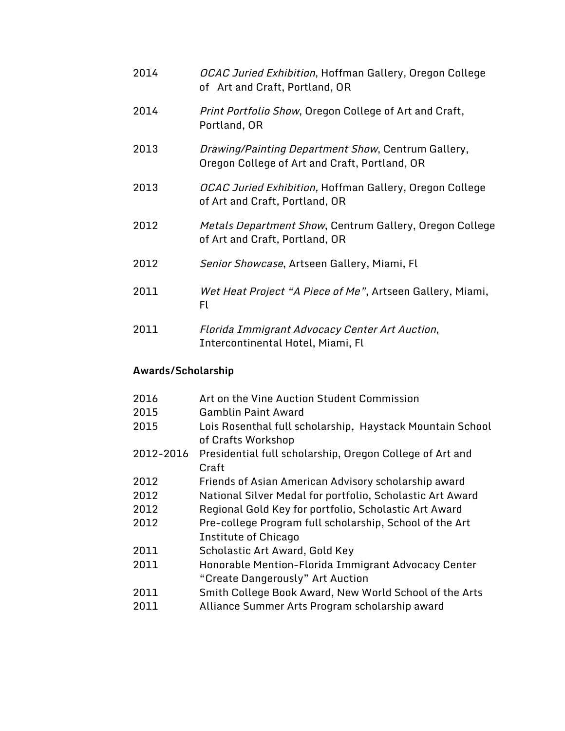| 2014 | OCAC Juried Exhibition, Hoffman Gallery, Oregon College |
|------|---------------------------------------------------------|
|      | of Art and Craft, Portland, OR                          |

- 2014 Print Portfolio Show, Oregon College of Art and Craft, Portland, OR
- 2013 Drawing/Painting Department Show, Centrum Gallery, Oregon College of Art and Craft, Portland, OR
- 2013 OCAC Juried Exhibition, Hoffman Gallery, Oregon College of Art and Craft, Portland, OR
- 2012 Metals Department Show, Centrum Gallery, Oregon College of Art and Craft, Portland, OR
- 2012 Senior Showcase, Artseen Gallery, Miami, Fl
- 2011 Wet Heat Project "A Piece of Me", Artseen Gallery, Miami, Fl
- 2011 Florida Immigrant Advocacy Center Art Auction, Intercontinental Hotel, Miami, Fl

### **Awards/Scholarship**

- 2016 Art on the Vine Auction Student Commission
- 2015 Gamblin Paint Award
- 2015 Lois Rosenthal full scholarship, Haystack Mountain School of Crafts Workshop
- 2012-2016 Presidential full scholarship, Oregon College of Art and Craft
- 2012 Friends of Asian American Advisory scholarship award
- 2012 National Silver Medal for portfolio, Scholastic Art Award
- 2012 Regional Gold Key for portfolio, Scholastic Art Award
- 2012 Pre-college Program full scholarship, School of the Art Institute of Chicago
- 2011 Scholastic Art Award, Gold Key
- 2011 Honorable Mention-Florida Immigrant Advocacy Center "Create Dangerously" Art Auction
- 2011 Smith College Book Award, New World School of the Arts
- 2011 Alliance Summer Arts Program scholarship award